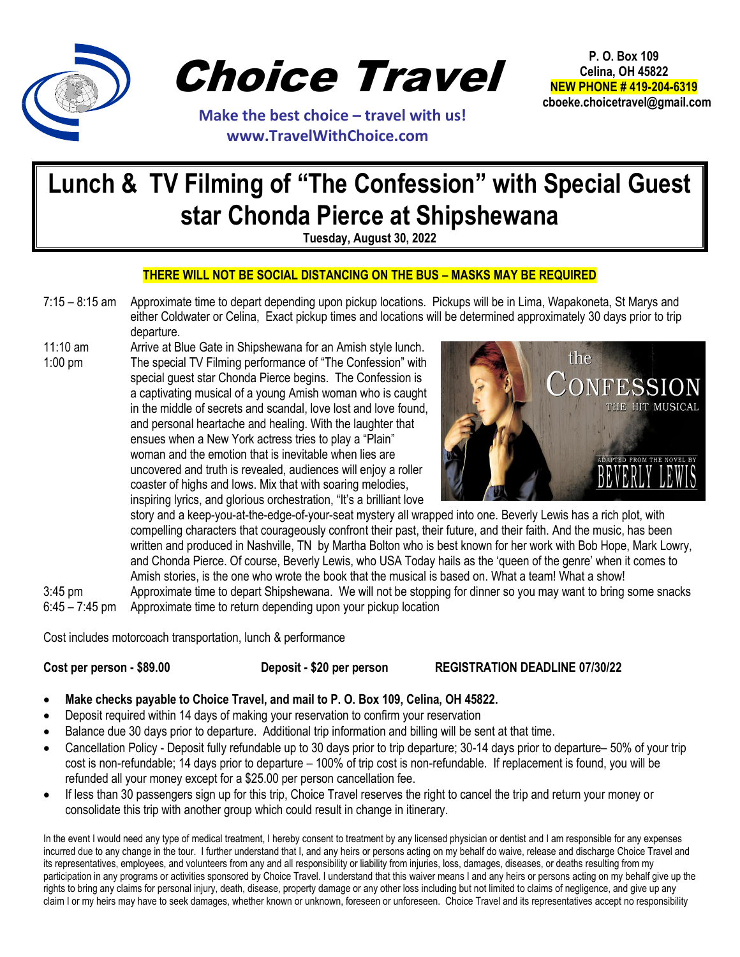

Choice Travel

 **Make the best choice – travel with us! www.TravelWithChoice.com**

**P. O. Box 109 Celina, OH 45822 NEW PHONE # 419-204-6319 cboeke.choicetravel@gmail.com** 

## **Lunch & TV Filming of "The Confession" with Special Guest star Chonda Pierce at Shipshewana**

**Tuesday, August 30, 2022**

## **THERE WILL NOT BE SOCIAL DISTANCING ON THE BUS – MASKS MAY BE REQUIRED**

- 7:15 8:15 am Approximate time to depart depending upon pickup locations. Pickups will be in Lima, Wapakoneta, St Marys and either Coldwater or Celina, Exact pickup times and locations will be determined approximately 30 days prior to trip departure.
- 11:10 am Arrive at Blue Gate in Shipshewana for an Amish style lunch. 1:00 pm The special TV Filming performance of "The Confession" with special guest star Chonda Pierce begins. The Confession is a captivating musical of a young Amish woman who is caught in the middle of secrets and scandal, love lost and love found, and personal heartache and healing. With the laughter that ensues when a New York actress tries to play a "Plain" woman and the emotion that is inevitable when lies are uncovered and truth is revealed, audiences will enjoy a roller coaster of highs and lows. Mix that with soaring melodies, inspiring lyrics, and glorious orchestration, "It's a brilliant love



story and a keep-you-at-the-edge-of-your-seat mystery all wrapped into one. Beverly Lewis has a rich plot, with compelling characters that courageously confront their past, their future, and their faith. And the music, has been written and produced in Nashville, TN by Martha Bolton who is best known for her work with Bob Hope, Mark Lowry, and Chonda Pierce. Of course, Beverly Lewis, who USA Today hails as the 'queen of the genre' when it comes to Amish stories, is the one who wrote the book that the musical is based on. What a team! What a show!

3:45 pm Approximate time to depart Shipshewana. We will not be stopping for dinner so you may want to bring some snacks 6:45 – 7:45 pm Approximate time to return depending upon your pickup location

Cost includes motorcoach transportation, lunch & performance

## **Cost per person - \$89.00 Deposit - \$20 per person REGISTRATION DEADLINE 07/30/22**

- **Make checks payable to Choice Travel, and mail to P. O. Box 109, Celina, OH 45822.**
- Deposit required within 14 days of making your reservation to confirm your reservation
- Balance due 30 days prior to departure. Additional trip information and billing will be sent at that time.
- Cancellation Policy Deposit fully refundable up to 30 days prior to trip departure; 30-14 days prior to departure– 50% of your trip cost is non-refundable; 14 days prior to departure – 100% of trip cost is non-refundable. If replacement is found, you will be refunded all your money except for a \$25.00 per person cancellation fee.
- If less than 30 passengers sign up for this trip, Choice Travel reserves the right to cancel the trip and return your money or consolidate this trip with another group which could result in change in itinerary.

In the event I would need any type of medical treatment, I hereby consent to treatment by any licensed physician or dentist and I am responsible for any expenses incurred due to any change in the tour. I further understand that I, and any heirs or persons acting on my behalf do waive, release and discharge Choice Travel and its representatives, employees, and volunteers from any and all responsibility or liability from injuries, loss, damages, diseases, or deaths resulting from my participation in any programs or activities sponsored by Choice Travel. I understand that this waiver means I and any heirs or persons acting on my behalf give up the rights to bring any claims for personal injury, death, disease, property damage or any other loss including but not limited to claims of negligence, and give up any claim I or my heirs may have to seek damages, whether known or unknown, foreseen or unforeseen. Choice Travel and its representatives accept no responsibility